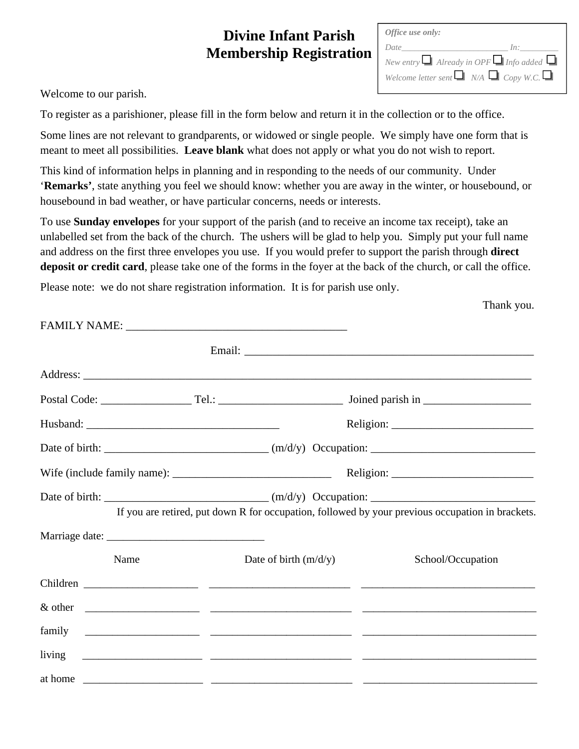## **Divine Infant Parish Membership Registration**

| Office use only: |                                                          |
|------------------|----------------------------------------------------------|
| Date             | ln:                                                      |
|                  | New entry $\Box$ Already in OPF $\Box$ Info added $\Box$ |
|                  | Welcome letter sent $\Box$ N/A $\Box$ Copy W.C. $\Box$   |

Welcome to our parish.

To register as a parishioner, please fill in the form below and return it in the collection or to the office.

Some lines are not relevant to grandparents, or widowed or single people. We simply have one form that is meant to meet all possibilities. **Leave blank** what does not apply or what you do not wish to report.

This kind of information helps in planning and in responding to the needs of our community. Under '**Remarks'**, state anything you feel we should know: whether you are away in the winter, or housebound, or housebound in bad weather, or have particular concerns, needs or interests.

To use **Sunday envelopes** for your support of the parish (and to receive an income tax receipt), take an unlabelled set from the back of the church. The ushers will be glad to help you. Simply put your full name and address on the first three envelopes you use. If you would prefer to support the parish through **direct deposit or credit card**, please take one of the forms in the foyer at the back of the church, or call the office.

Please note: we do not share registration information. It is for parish use only.

|        |                         | If you are retired, put down R for occupation, followed by your previous occupation in brackets.                       |
|--------|-------------------------|------------------------------------------------------------------------------------------------------------------------|
|        |                         |                                                                                                                        |
| Name   | Date of birth $(m/d/y)$ | School/Occupation                                                                                                      |
|        |                         |                                                                                                                        |
|        |                         |                                                                                                                        |
|        |                         |                                                                                                                        |
| living |                         | <u> 2000 - Jan James James (2000), president al II-lea (2000), president al II-lea (2000), president al II-lea (20</u> |
|        |                         |                                                                                                                        |

Thank you.